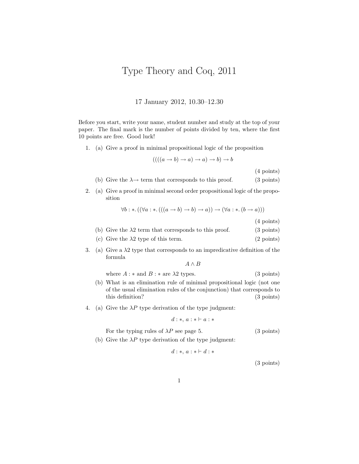## Type Theory and Coq, 2011

17 January 2012, 10.30–12.30

Before you start, write your name, student number and study at the top of your paper. The final mark is the number of points divided by ten, where the first 10 points are free. Good luck!

1. (a) Give a proof in minimal propositional logic of the proposition

$$
(((a \rightarrow b) \rightarrow a) \rightarrow a) \rightarrow b) \rightarrow b
$$

(4 points)

(b) Give the 
$$
\lambda \rightarrow
$$
 term that corresponds to this proof. (3 points)

2. (a) Give a proof in minimal second order propositional logic of the proposition

$$
\forall b: *. ((\forall a: * . (((a \rightarrow b) \rightarrow b) \rightarrow a)) \rightarrow (\forall a: * . (b \rightarrow a)))
$$

(4 points)

| (b) Give the $\lambda 2$ term that corresponds to this proof.  | $(3 \text{ points})$ |
|----------------------------------------------------------------|----------------------|
| $\left( \begin{array}{ccc} 1 & 1 \\ 1 & 2 \end{array} \right)$ | $(0 \cdot 1)$        |

- (c) Give the  $\lambda$ 2 type of this term. (2 points)
- 3. (a) Give a  $\lambda$ 2 type that corresponds to an impredicative definition of the formula

 $A \wedge B$ 

where  $A : *$  and  $B : *$  are  $\lambda$ 2 types. (3 points)

- (b) What is an elimination rule of minimal propositional logic (not one of the usual elimination rules of the conjunction) that corresponds to this definition? (3 points)
- 4. (a) Give the  $\lambda P$  type derivation of the type judgment:

$$
d:*,\, a:*\vdash a:*
$$

For the typing rules of  $\lambda P$  see page 5. (3 points)

(b) Give the  $\lambda P$  type derivation of the type judgment:

$$
d:*, a: * \vdash d: *
$$

(3 points)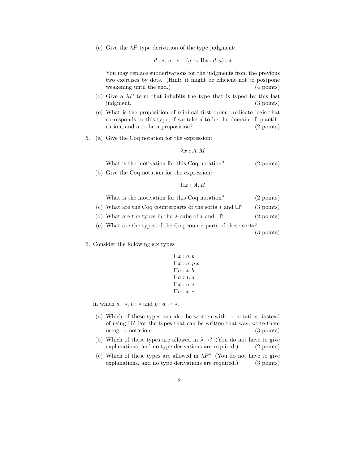(c) Give the  $\lambda P$  type derivation of the type judgment:

$$
d:*, a: * \vdash (a \rightarrow \Pi x : d, a): *
$$

You may replace subderivations for the judgments from the previous two exercises by dots. (Hint: it might be efficient not to postpone weakening until the end.) (4 points)

- (d) Give a  $\lambda P$  term that inhabits the type that is typed by this last judgment. (3 points)
- (e) What is the proposition of minimal first order predicate logic that corresponds to this type, if we take  $d$  to be the domain of quantification, and  $\alpha$  to be a proposition? (2 points)
- 5. (a) Give the Coq notation for the expression:

$$
\lambda x:A.M
$$

What is the motivation for this Coq notation? (2 points)

(b) Give the Coq notation for the expression:

$$
\Pi x:A.B
$$

| What is the motivation for this Coq notation? | $(2 \text{ points})$ |
|-----------------------------------------------|----------------------|
|-----------------------------------------------|----------------------|

- (c) What are the Coq counterparts of the sorts  $*$  and  $\square$ ? (3 points)
- (d) What are the types in the  $\lambda$ -cube of  $*$  and  $\square$ ? (2 points)
- (e) What are the types of the Coq counterparts of these sorts?

(3 points)

6. Consider the following six types

```
\Pi x : a.b\Pi x : a.p x\Pi a : * b\Pi a : \ast . a\Pi x : a.*Πa : ∗. ∗
```
in which  $a : *, b : *$  and  $p : a \rightarrow *$ .

- (a) Which of these types can also be written with  $\rightarrow$  notation, instead of using Π? For the types that can be written that way, write them using  $\rightarrow$  notation. (3 points)
- (b) Which of these types are allowed in  $\lambda \rightarrow ?$  (You do not have to give explanations, and no type derivations are required.) (2 points)
- (c) Which of these types are allowed in  $\lambda P$ ? (You do not have to give explanations, and no type derivations are required.) (3 points)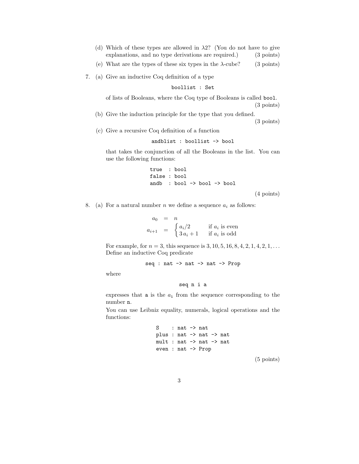| (d) Which of these types are allowed in $\lambda$ 2? (You do not have to give |                      |
|-------------------------------------------------------------------------------|----------------------|
| explanations, and no type derivations are required.)                          | $(3 \text{ points})$ |
|                                                                               |                      |

(e) What are the types of these six types in the  $\lambda$ -cube? (3 points)

7. (a) Give an inductive Coq definition of a type

boollist : Set

of lists of Booleans, where the Coq type of Booleans is called bool. (3 points)

- (b) Give the induction principle for the type that you defined. (3 points)
- (c) Give a recursive Coq definition of a function

andblist : boollist -> bool

that takes the conjunction of all the Booleans in the list. You can use the following functions:

> true : bool false : bool andb : bool -> bool -> bool

> > (4 points)

8. (a) For a natural number n we define a sequence  $a_i$  as follows:

 $a_0 = n$  $a_{i+1} = \begin{cases} a_i/2 & \text{if } a_i \text{ is even} \\ 2 \text{ and } a_i \text{ is odd} \end{cases}$  $3a_i + 1$  if  $a_i$  is odd

For example, for  $n = 3$ , this sequence is 3, 10, 5, 16, 8, 4, 2, 1, 4, 2, 1, ... Define an inductive Coq predicate

seq : nat -> nat -> nat -> Prop

where

seq n i a

expresses that  $a_i$  from the sequence corresponding to the number n.

You can use Leibniz equality, numerals, logical operations and the functions:

> S : nat -> nat plus : nat -> nat -> nat mult : nat -> nat -> nat even : nat -> Prop

(5 points)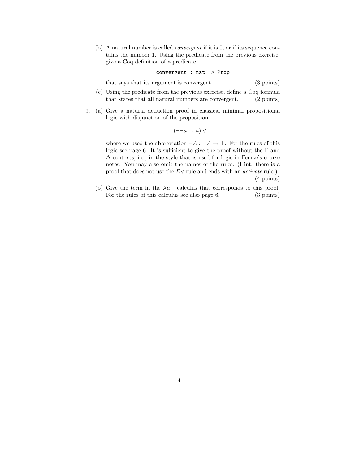(b) A natural number is called convergent if it is 0, or if its sequence contains the number 1. Using the predicate from the previous exercise, give a Coq definition of a predicate

convergent : nat -> Prop

that says that its argument is convergent. (3 points)

- (c) Using the predicate from the previous exercise, define a Coq formula that states that all natural numbers are convergent. (2 points)
- 9. (a) Give a natural deduction proof in classical minimal propositional logic with disjunction of the proposition

$$
(\neg\neg a \rightarrow a) \vee \bot
$$

where we used the abbreviation  $\neg A := A \rightarrow \bot$ . For the rules of this logic see page 6. It is sufficient to give the proof without the  $\Gamma$  and  $\Delta$  contexts, i.e., in the style that is used for logic in Femke's course notes. You may also omit the names of the rules. (Hint: there is a proof that does not use the  $E\vee$  rule and ends with an *activate* rule.) (4 points)

(b) Give the term in the  $\lambda \mu$ + calculus that corresponds to this proof. For the rules of this calculus see also page 6. (3 points)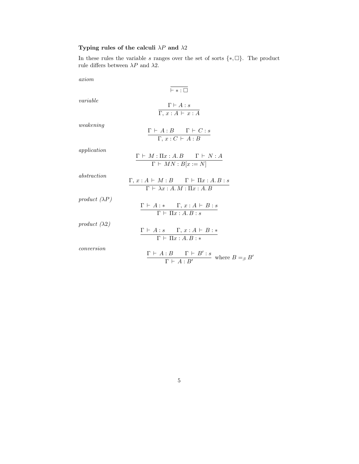## Typing rules of the calculi  $\lambda P$  and  $\lambda 2$

In these rules the variable s ranges over the set of sorts  $\{*, \Box\}$ . The product rule differs between  $\lambda P$  and  $\lambda 2.$ 

axiom

|                       | $\vdash *:\square$                                                                                              |
|-----------------------|-----------------------------------------------------------------------------------------------------------------|
| variable              | $\Gamma\vdash A:s$<br>$\Gamma, x:A \vdash x:A$                                                                  |
| weakening             | $\Gamma \vdash A:B \qquad \Gamma \vdash C:s$<br>$\Gamma, x : C \vdash A : B$                                    |
| application           | $\Gamma \vdash M : \Pi x : A. B \qquad \Gamma \vdash N : A$<br>$\Gamma \vdash MN : B[x := N]$                   |
| abstraction           | $\Gamma,\,x:A \,\vdash\, M:B \qquad \Gamma \,\vdash\, \Pi x:A.B:s$<br>$\Gamma \vdash \lambda x:A.M : \Pi x:A.B$ |
| product $(\lambda P)$ | $\Gamma \vdash A : * \quad \Gamma, x : A \vdash B : s$<br>$\Gamma \vdash \Pi x : A.B : s$                       |
| product $(\lambda 2)$ | $\Gamma \vdash A : s \quad \Gamma, x : A \vdash B : *$<br>$\Gamma \vdash \Pi x:A.B: *$                          |
| conversion            | $\frac{\Gamma\,\vdash\, A:B\qquad \Gamma\,\vdash\, B':s}{\Gamma\,\vdash\, A:B'}\, \text{ where } B=_{\beta} B'$ |